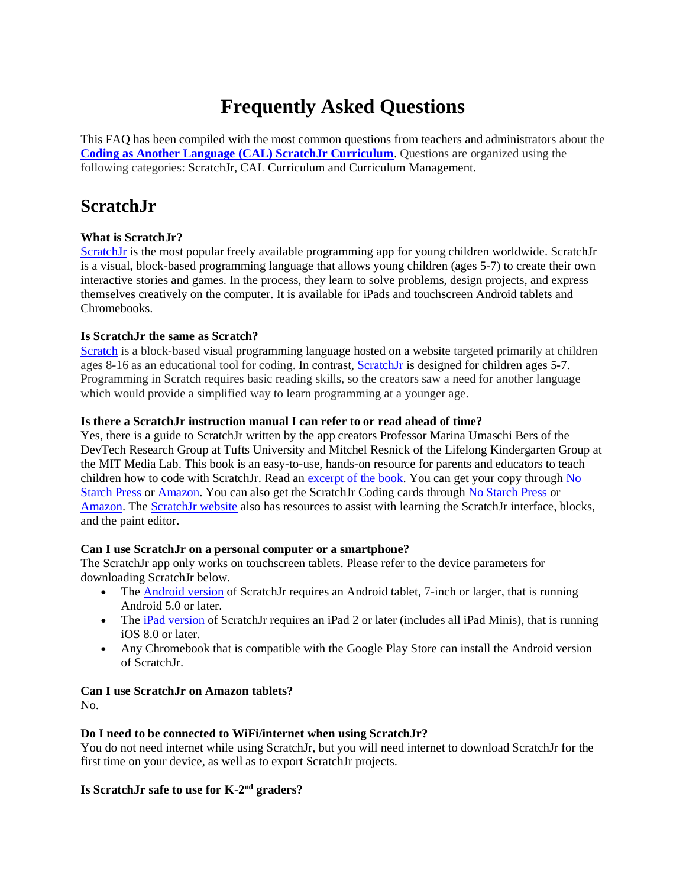# **Frequently Asked Questions**

This FAQ has been compiled with the most common questions from teachers and administrators about the **[Coding as Another Language \(CAL\) ScratchJr Curriculum](https://sites.tufts.edu/codingasanotherlanguage/curricula/scratchjr/)**. Questions are organized using the following categories: ScratchJr, CAL Curriculum and Curriculum Management.

# **ScratchJr**

# **What is ScratchJr?**

[ScratchJr](https://www.scratchjr.org/) is the most popular freely available programming app for young children worldwide. ScratchJr is a visual, block-based programming language that allows young children (ages 5-7) to create their own interactive stories and games. In the process, they learn to solve problems, design projects, and express themselves creatively on the computer. It is available for iPads and touchscreen Android tablets and Chromebooks.

# **Is ScratchJr the same as Scratch?**

[Scratch](https://en.wikipedia.org/wiki/Visual_programming_language) is a block-based visual programming language hosted on a website targeted primarily at children ages 8-16 as an educational tool for coding. In contrast, [ScratchJr](https://www.scratchjr.org/) is designed for children ages 5-7. Programming in Scratch requires basic reading skills, so the creators saw a need for another language which would provide a simplified way to learn programming at a younger age.

### **Is there a ScratchJr instruction manual I can refer to or read ahead of time?**

Yes, there is a guide to ScratchJr written by the app creators Professor Marina Umaschi Bers of the DevTech Research Group at Tufts University and Mitchel Resnick of the Lifelong Kindergarten Group at the MIT Media Lab. This book is an easy-to-use, hands-on resource for parents and educators to teach children how to code with ScratchJr. Read an [excerpt of the book.](https://medium.com/scratchfoundation-blog/helping-young-children-experiment-explore-and-express-themselves-with-code-69a450d42005#.9fq210a4q) You can get your copy through [No](https://www.nostarch.com/scratchjr)  [Starch Press](https://www.nostarch.com/scratchjr) o[r Amazon.](https://www.amazon.com/Official-ScratchJr-Book-Help-Learn/dp/1593276710) You can also get the ScratchJr Coding cards through [No Starch Press](https://www.nostarch.com/scratchjr) or [Amazon.](https://www.amazon.com/ScratchJr-Coding-Cards-Creative-Activities/dp/1593278993/ref=pd_lpo_14_t_0/143-4344509-7876854?_encoding=UTF8&pd_rd_i=1593278993&pd_rd_r=e5d04629-afc0-4cf0-b367-c41a6c6b4fc2&pd_rd_w=AtEmP&pd_rd_wg=2LX9J&pf_rd_p=337be819-13af-4fb9-8b3e-a5291c097ebb&pf_rd_r=3ACH32WCTQYVF04PWB27&psc=1&refRID=3ACH32WCTQYVF04PWB27) The [ScratchJr website](https://www.scratchjr.org/learn/) also has resources to assist with learning the ScratchJr interface, blocks, and the paint editor.

# **Can I use ScratchJr on a personal computer or a smartphone?**

The ScratchJr app only works on touchscreen tablets. Please refer to the device parameters for downloading ScratchJr below.

- The [Android](https://play.google.com/store/apps/details?id=org.scratchjr.android) version of ScratchJr requires an Android tablet, 7-inch or larger, that is running Android 5.0 or later.
- The iPad [version](https://itunes.apple.com/us/app/scratchjr/id895485086?ls=1&mt=8) of ScratchJr requires an iPad 2 or later (includes all iPad Minis), that is running iOS 8.0 or later.
- Any Chromebook that is compatible with the Google Play Store can install the Android version of ScratchJr.

# **Can I use ScratchJr on Amazon tablets?**

No.

# **Do I need to be connected to WiFi/internet when using ScratchJr?**

You do not need internet while using ScratchJr, but you will need internet to download ScratchJr for the first time on your device, as well as to export ScratchJr projects.

# Is ScratchJr safe to use for K-2<sup>nd</sup> graders?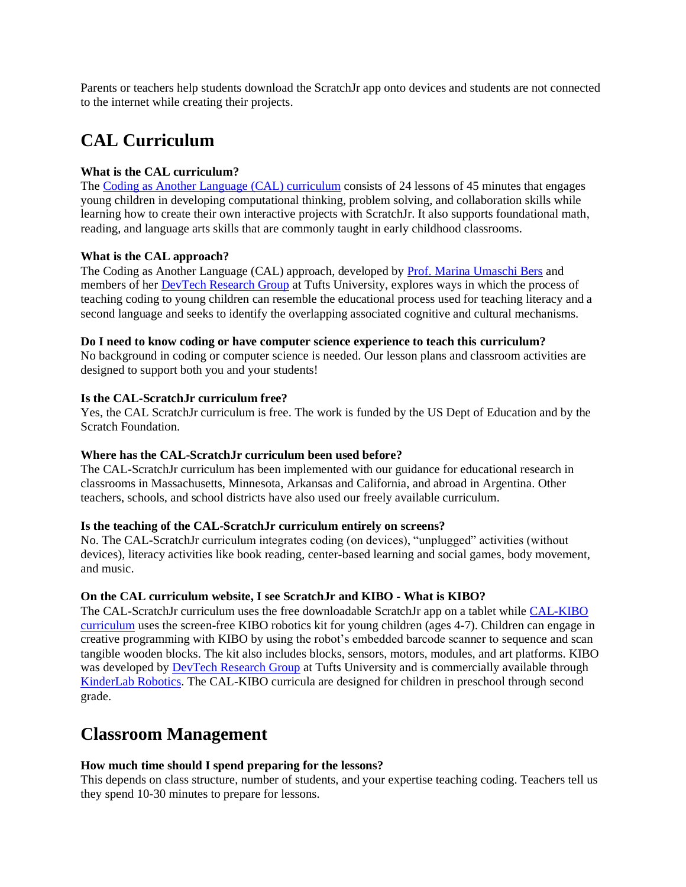Parents or teachers help students download the ScratchJr app onto devices and students are not connected to the internet while creating their projects.

# **CAL Curriculum**

#### **What is the CAL curriculum?**

The [Coding as Another Language \(CAL\) curriculum](https://sites.tufts.edu/codingasanotherlanguage/) consists of 24 lessons of 45 minutes that engages young children in developing computational thinking, problem solving, and collaboration skills while learning how to create their own interactive projects with ScratchJr. It also supports foundational math, reading, and language arts skills that are commonly taught in early childhood classrooms.

#### **What is the CAL approach?**

The Coding as Another Language (CAL) approach, developed by [Prof. Marina Umaschi Bers](https://sites.tufts.edu/mbers01) and members of her [DevTech Research Group](https://sites.tufts.edu/devtech/) at Tufts University, explores ways in which the process of teaching coding to young children can resemble the educational process used for teaching literacy and a second language and seeks to identify the overlapping associated cognitive and cultural mechanisms.

#### **Do I need to know coding or have computer science experience to teach this curriculum?**

No background in coding or computer science is needed. Our lesson plans and classroom activities are designed to support both you and your students!

#### **Is the CAL-ScratchJr curriculum free?**

Yes, the CAL ScratchJr curriculum is free. The work is funded by the US Dept of Education and by the Scratch Foundation.

#### **Where has the CAL-ScratchJr curriculum been used before?**

The CAL-ScratchJr curriculum has been implemented with our guidance for educational research in classrooms in Massachusetts, Minnesota, Arkansas and California, and abroad in Argentina. Other teachers, schools, and school districts have also used our freely available curriculum.

#### **Is the teaching of the CAL-ScratchJr curriculum entirely on screens?**

No. The CAL-ScratchJr curriculum integrates coding (on devices), "unplugged" activities (without devices), literacy activities like book reading, center-based learning and social games, body movement, and music.

#### **On the CAL curriculum website, I see ScratchJr and KIBO - What is KIBO?**

The CAL-ScratchJr curriculum uses the free downloadable ScratchJr app on a tablet whil[e CAL-KIBO](https://sites.tufts.edu/codingasanotherlanguage/curricula/kibo/) [curriculum](https://sites.tufts.edu/codingasanotherlanguage/curricula/kibo/) uses the screen-free KIBO robotics kit for young children (ages 4-7). Children can engage in creative programming with KIBO by using the robot's embedded barcode scanner to sequence and scan tangible wooden blocks. The kit also includes blocks, sensors, motors, modules, and art platforms. KIBO was developed by [DevTech Research Group](https://sites.tufts.edu/devtech/) at Tufts University and is commercially available through [KinderLab Robotics.](https://www.shop.kinderlabrobotics.com/main.sc) The CAL-KIBO curricula are designed for children in preschool through second grade.

# **Classroom Management**

#### **How much time should I spend preparing for the lessons?**

This depends on class structure, number of students, and your expertise teaching coding. Teachers tell us they spend 10-30 minutes to prepare for lessons.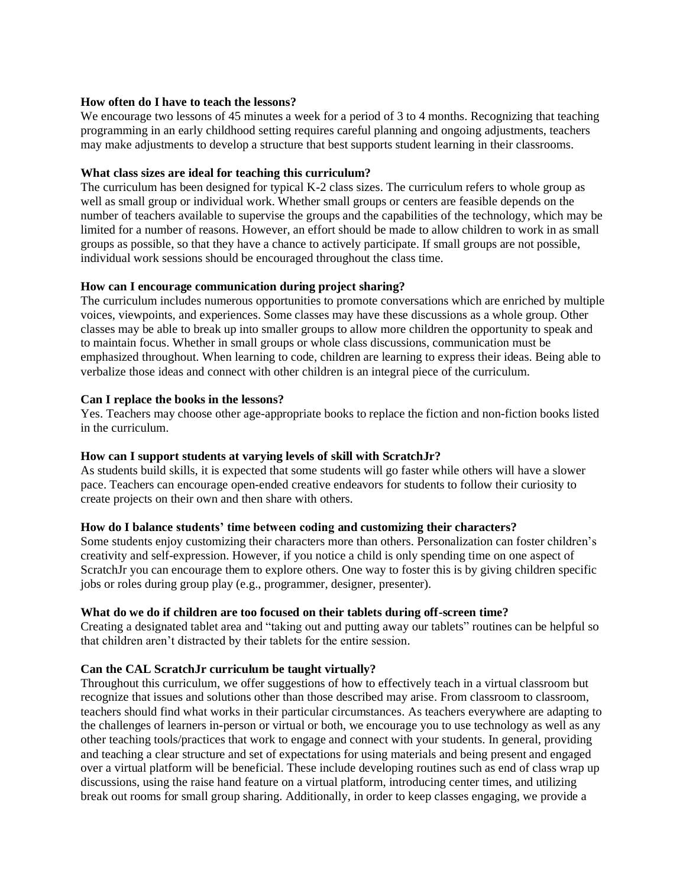#### **How often do I have to teach the lessons?**

We encourage two lessons of 45 minutes a week for a period of 3 to 4 months. Recognizing that teaching programming in an early childhood setting requires careful planning and ongoing adjustments, teachers may make adjustments to develop a structure that best supports student learning in their classrooms.

#### **What class sizes are ideal for teaching this curriculum?**

The curriculum has been designed for typical K-2 class sizes. The curriculum refers to whole group as well as small group or individual work. Whether small groups or centers are feasible depends on the number of teachers available to supervise the groups and the capabilities of the technology, which may be limited for a number of reasons. However, an effort should be made to allow children to work in as small groups as possible, so that they have a chance to actively participate. If small groups are not possible, individual work sessions should be encouraged throughout the class time.

#### **How can I encourage communication during project sharing?**

The curriculum includes numerous opportunities to promote conversations which are enriched by multiple voices, viewpoints, and experiences. Some classes may have these discussions as a whole group. Other classes may be able to break up into smaller groups to allow more children the opportunity to speak and to maintain focus. Whether in small groups or whole class discussions, communication must be emphasized throughout. When learning to code, children are learning to express their ideas. Being able to verbalize those ideas and connect with other children is an integral piece of the curriculum.

#### **Can I replace the books in the lessons?**

Yes. Teachers may choose other age-appropriate books to replace the fiction and non-fiction books listed in the curriculum.

#### **How can I support students at varying levels of skill with ScratchJr?**

As students build skills, it is expected that some students will go faster while others will have a slower pace. Teachers can encourage open-ended creative endeavors for students to follow their curiosity to create projects on their own and then share with others.

#### **How do I balance students' time between coding and customizing their characters?**

Some students enjoy customizing their characters more than others. Personalization can foster children's creativity and self-expression. However, if you notice a child is only spending time on one aspect of ScratchJr you can encourage them to explore others. One way to foster this is by giving children specific jobs or roles during group play (e.g., programmer, designer, presenter).

#### **What do we do if children are too focused on their tablets during off-screen time?**

Creating a designated tablet area and "taking out and putting away our tablets" routines can be helpful so that children aren't distracted by their tablets for the entire session.

#### **Can the CAL ScratchJr curriculum be taught virtually?**

Throughout this curriculum, we offer suggestions of how to effectively teach in a virtual classroom but recognize that issues and solutions other than those described may arise. From classroom to classroom, teachers should find what works in their particular circumstances. As teachers everywhere are adapting to the challenges of learners in-person or virtual or both, we encourage you to use technology as well as any other teaching tools/practices that work to engage and connect with your students. In general, providing and teaching a clear structure and set of expectations for using materials and being present and engaged over a virtual platform will be beneficial. These include developing routines such as end of class wrap up discussions, using the raise hand feature on a virtual platform, introducing center times, and utilizing break out rooms for small group sharing. Additionally, in order to keep classes engaging, we provide a